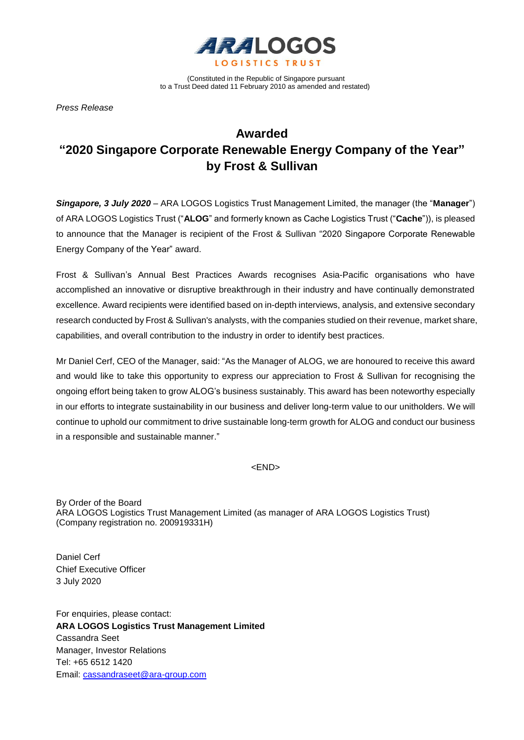

(Constituted in the Republic of Singapore pursuant to a Trust Deed dated 11 February 2010 as amended and restated)

*Press Release* 

## **Awarded "2020 Singapore Corporate Renewable Energy Company of the Year" by Frost & Sullivan**

*Singapore, 3 July 2020* – ARA LOGOS Logistics Trust Management Limited, the manager (the "**Manager**") of ARA LOGOS Logistics Trust ("**ALOG**" and formerly known as Cache Logistics Trust ("**Cache**")), is pleased to announce that the Manager is recipient of the Frost & Sullivan "2020 Singapore Corporate Renewable Energy Company of the Year" award.

Frost & Sullivan's Annual Best Practices Awards recognises Asia-Pacific organisations who have accomplished an innovative or disruptive breakthrough in their industry and have continually demonstrated excellence. Award recipients were identified based on in-depth interviews, analysis, and extensive secondary research conducted by Frost & Sullivan's analysts, with the companies studied on their revenue, market share, capabilities, and overall contribution to the industry in order to identify best practices.

Mr Daniel Cerf, CEO of the Manager, said: "As the Manager of ALOG, we are honoured to receive this award and would like to take this opportunity to express our appreciation to Frost & Sullivan for recognising the ongoing effort being taken to grow ALOG's business sustainably. This award has been noteworthy especially in our efforts to integrate sustainability in our business and deliver long-term value to our unitholders. We will continue to uphold our commitment to drive sustainable long-term growth for ALOG and conduct our business in a responsible and sustainable manner."

<END>

By Order of the Board ARA LOGOS Logistics Trust Management Limited (as manager of ARA LOGOS Logistics Trust) (Company registration no. 200919331H)

Daniel Cerf Chief Executive Officer 3 July 2020

For enquiries, please contact: **ARA LOGOS Logistics Trust Management Limited** Cassandra Seet Manager, Investor Relations Tel: +65 6512 1420 Email: [cassandraseet@ara-group.com](mailto:cassandraseet@ara-group.com)